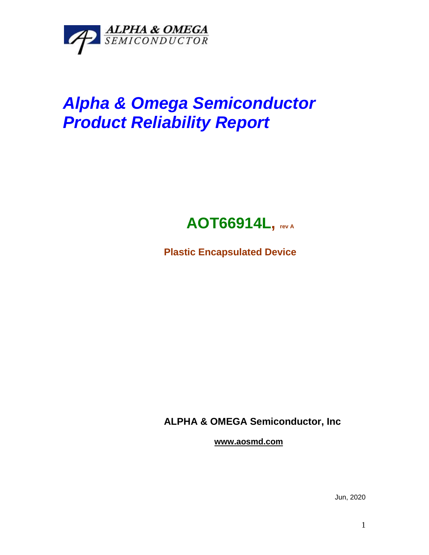

## *Alpha & Omega Semiconductor Product Reliability Report*



**Plastic Encapsulated Device**

**ALPHA & OMEGA Semiconductor, Inc**

**www.aosmd.com**

Jun, 2020